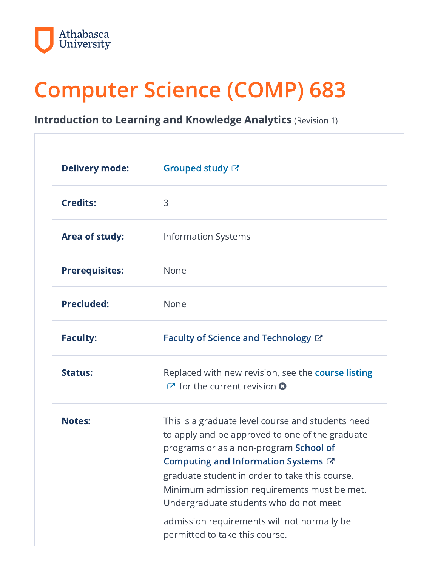

# Computer Science (COMP) 683

Introduction to Learning and Knowledge Analytics (Revision 1)

| <b>Delivery mode:</b> | Grouped study &                                                                                                                                                                                                                                                                                                                                                                                                    |
|-----------------------|--------------------------------------------------------------------------------------------------------------------------------------------------------------------------------------------------------------------------------------------------------------------------------------------------------------------------------------------------------------------------------------------------------------------|
| <b>Credits:</b>       | 3                                                                                                                                                                                                                                                                                                                                                                                                                  |
| <b>Area of study:</b> | <b>Information Systems</b>                                                                                                                                                                                                                                                                                                                                                                                         |
| <b>Prerequisites:</b> | None                                                                                                                                                                                                                                                                                                                                                                                                               |
| <b>Precluded:</b>     | None                                                                                                                                                                                                                                                                                                                                                                                                               |
| <b>Faculty:</b>       | Faculty of Science and Technology $\mathbb{C}^n$                                                                                                                                                                                                                                                                                                                                                                   |
| <b>Status:</b>        | Replaced with new revision, see the course listing<br>$\sigma$ for the current revision $\Omega$                                                                                                                                                                                                                                                                                                                   |
| <b>Notes:</b>         | This is a graduate level course and students need<br>to apply and be approved to one of the graduate<br>programs or as a non-program School of<br>Computing and Information Systems C'<br>graduate student in order to take this course.<br>Minimum admission requirements must be met.<br>Undergraduate students who do not meet<br>admission requirements will not normally be<br>permitted to take this course. |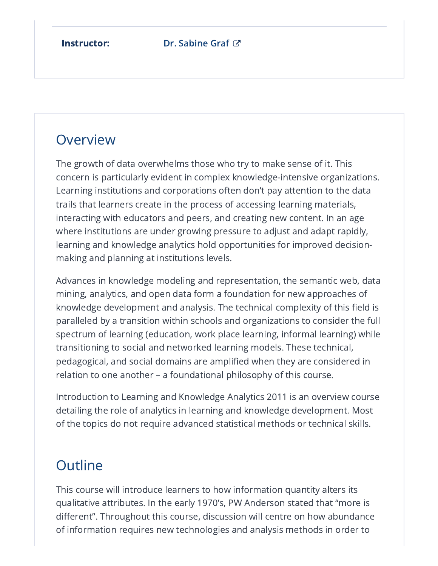# **Overview**

The growth of data overwhelms those who try to make sense of it. This concern is particularly evident in complex knowledge-intensive organizations. Learning institutions and corporations often don't pay attention to the data trails that learners create in the process of accessing learning materials, interacting with educators and peers, and creating new content. In an age where institutions are under growing pressure to adjust and adapt rapidly, learning and knowledge analytics hold opportunities for improved decisionmaking and planning at institutions levels.

Advances in knowledge modeling and representation, the semantic web, data mining, analytics, and open data form a foundation for new approaches of knowledge development and analysis. The technical complexity of this field is paralleled by a transition within schools and organizations to consider the full spectrum of learning (education, work place learning, informal learning) while transitioning to social and networked learning models. These technical, pedagogical, and social domains are amplified when they are considered in relation to one another – a foundational philosophy of this course.

Introduction to Learning and Knowledge Analytics 2011 is an overview course detailing the role of analytics in learning and knowledge development. Most of the topics do not require advanced statistical methods or technical skills.

## **Outline**

This course will introduce learners to how information quantity alters its qualitative attributes. In the early 1970's, PW Anderson stated that "more is different". Throughout this course, discussion will centre on how abundance of information requires new technologies and analysis methods in order to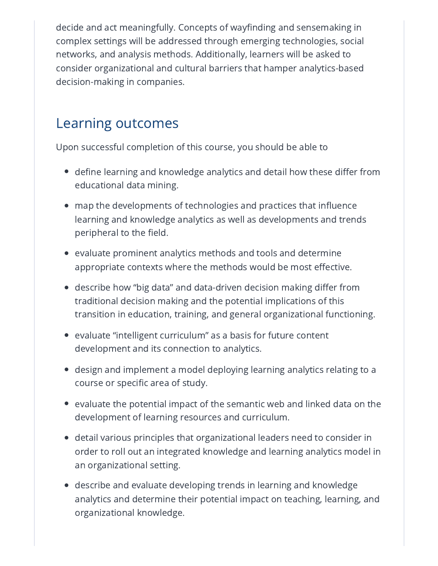decide and act meaningfully. Concepts of wayfinding and sensemaking in complex settings will be addressed through emerging technologies, social networks, and analysis methods. Additionally, learners will be asked to consider organizational and cultural barriers that hamper analytics-based decision-making in companies.

#### Learning outcomes

Upon successful completion of this course, you should be able to

- $\bullet~$  define learning and knowledge analytics and detail how these differ from  $\,$ educational data mining.
- map the developments of technologies and practices that influence learning and knowledge analytics as well as developments and trends peripheral to the field.
- $\bullet~$  evaluate prominent analytics methods and tools and determine appropriate contexts where the methods would be most effective.
- describe how "big data" and data-driven decision making differ from traditional decision making and the potential implications of this transition in education, training, and general organizational functioning.
- $\bullet~$  evaluate "intelligent curriculum" as a basis for future content development and its connection to analytics.
- $\bullet~$  design and implement a model deploying learning analytics relating to a course or specific area of study.
- $\bullet~$  evaluate the potential impact of the semantic web and linked data on the development of learning resources and curriculum.
- detail various principles that organizational leaders need to consider in order to roll out an integrated knowledge and learning analytics model in an organizational setting.
- describe and evaluate developing trends in learning and knowledge analytics and determine their potential impact on teaching, learning, and organizational knowledge.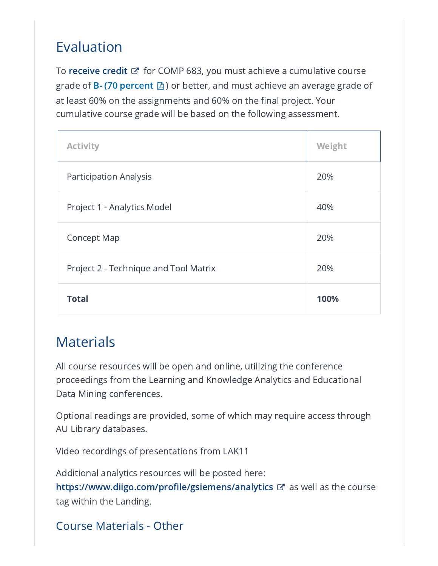# Evaluation

To **[receive](http://calendar.athabascau.ca/grad/current/additional/grad-glossary.php#credit) credit**  $\mathbb{Z}^{\bullet}$  for COMP 683, you must achieve a cumulative course grade of **B- (70 [percent](https://ous.athabascau.ca/policy/registry/graduategrading.pdf)**  $\boxtimes$  ) or better, and must achieve an average grade of at least 60% on the assignments and 60% on the final project. Your cumulative course grade will be based on the following assessment.

T.

| <b>Activity</b>                       | Weight |
|---------------------------------------|--------|
| <b>Participation Analysis</b>         | 20%    |
| Project 1 - Analytics Model           | 40%    |
| <b>Concept Map</b>                    | 20%    |
| Project 2 - Technique and Tool Matrix | 20%    |
| <b>Total</b>                          | 100%   |

## **Materials**

All course resources will be open and online, utilizing the conference proceedings from the Learning and Knowledge Analytics and Educational Data Mining conferences.

Optional readings are provided, some of which may require access through AU Library databases.

Video recordings of presentations from LAK11

Additional analytics resources will be posted here: <https://www.diigo.com/profile/gsiemens/analytics>  $\mathbb{Z}^r$  as well as the course tag within the Landing.

Course Materials - Other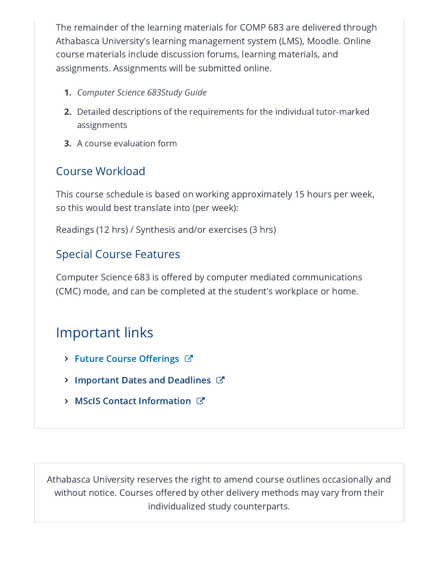The remainder of the learning materials for COMP 683 are delivered through Athabasca University's learning management system (LMS), Moodle. Online course materials include discussion forums, learning materials, and assignments. Assignments will be submitted online.

- 1. *Computer Science 683Study Guide*
- **2.** Detailed descriptions of the requirements for the individual tutor-marked assignments
- 3. A course evaluation form

#### Course Workload

This course schedule is based on working approximately 15 hours per week, so this would best translate into (per week):

Readings (12 hrs) / Synthesis and/or exercises (3 hrs)

#### Special Course Features

Computer Science 683 is offered by computer mediated communications (CMC) mode, and can be completed at the student's workplace or home.

## Important links

- > Future Course [Offerings](https://www.athabascau.ca/science-and-technology/resources/school-of-computing-information-systems/master-of-science-in-information-systems/master-of-science-in-information-systems-course-offerings.html)  $C^*$
- $\triangleright$  [Important](https://www.athabascau.ca/calendar/graduate/fst/master-of-science-in-information-systems.html#academicschedule) Dates and Deadlines  $\mathbb{Z}$
- **> MScIS Contact [Information](https://www.athabascau.ca/science-and-technology/about/contact-us.html) C'**

Athabasca University reserves the right to amend course outlines occasionally and without notice. Courses offered by other delivery methods may vary from their individualized study counterparts.